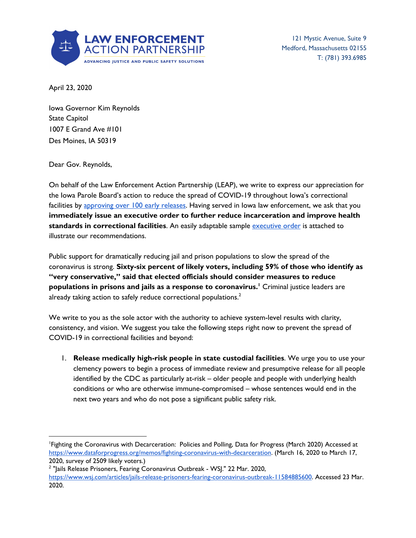

121 Mystic Avenue, Suite 9 Medford, Massachusetts 02155 T: (781) 393.6985

April 23, 2020

Iowa Governor Kim Reynolds State Capitol 1007 E Grand Ave #101 Des Moines, IA 50319

Dear Gov. Reynolds,

On behalf of the Law Enforcement Action Partnership (LEAP), we write to express our appreciation for the Iowa Parole Board's action to reduce the spread of COVID-19 throughout Iowa's correctional facilities by [approving](https://www.radioiowa.com/2020/04/20/hundreds-of-iowa-prisoners-getting-early-parole-due-to-covid-19-concerns/) over 100 early releases. Having served in lowa law enforcement, we ask that you **immediately issue an executive order to further reduce incarceration and improve health standards in correctional facilities**. An easily adaptable sample [executive](https://lawenforcementactionpartnership.org/covid-19-exec-order-sample/) order is attached to illustrate our recommendations.

Public support for dramatically reducing jail and prison populations to slow the spread of the coronavirus is strong. **Sixty-six percent of likely voters, including 59% of those who identify as "very conservative," said that elected officials should consider measures to reduce populations in prisons and jails as a response to coronavirus.<sup>1</sup> Criminal justice leaders are** already taking action to safely reduce correctional populations. $^2$ 

We write to you as the sole actor with the authority to achieve system-level results with clarity, consistency, and vision. We suggest you take the following steps right now to prevent the spread of COVID-19 in correctional facilities and beyond:

1. **Release medically high-risk people in state custodial facilities**. We urge you to use your clemency powers to begin a process of immediate review and presumptive release for all people identified by the CDC as particularly at-risk – older people and people with underlying health conditions or who are otherwise immune-compromised – whose sentences would end in the next two years and who do not pose a significant public safety risk.

<sup>1</sup>Fighting the Coronavirus with Decarceration: Policies and Polling, Data for Progress (March 2020) Accessed at <https://www.dataforprogress.org/memos/fighting-coronavirus-with-decarceration>. (March 16, 2020 to March 17, 2020, survey of 2509 likely voters.)

<sup>&</sup>lt;sup>2</sup> "Jails Release Prisoners, Fearing Coronavirus Outbreak - WSJ." 22 Mar. 2020, <https://www.wsj.com/articles/jails-release-prisoners-fearing-coronavirus-outbreak-11584885600>. Accessed 23 Mar. 2020.